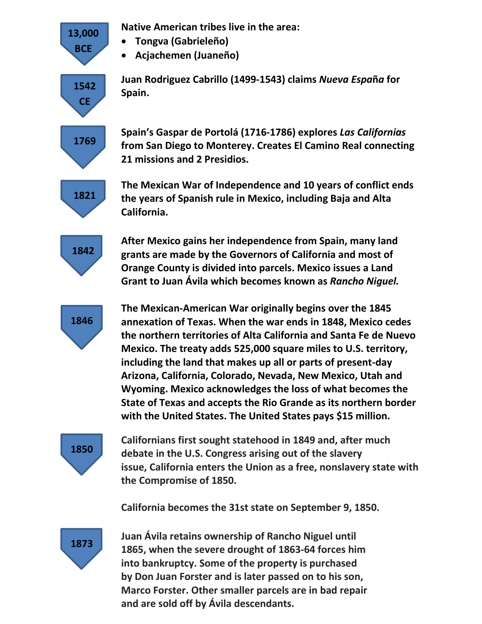**Native American tribes live in the area:**

- **Tongva (Gabrieleño)**
- **Acjachemen (Juaneño)**

**Juan Rodriguez Cabrillo (1499-1543) claims** *Nueva Espa***ñ***a* **for Spain.**

**Spain's Gaspar de Portolá (1716-1786) explores** *Las Californias* **from San Diego to Monterey. Creates El Camino Real connecting 21 missions and 2 Presidios.**

**The Mexican War of Independence and 10 years of conflict ends the years of Spanish rule in Mexico, including Baja and Alta California.**

**After Mexico gains her independence from Spain, many land grants are made by the Governors of California and most of Orange County is divided into parcels. Mexico issues a Land Grant to Juan Ávila which becomes known as** *Rancho Niguel.*

**The Mexican-American War originally begins over the 1845 annexation of Texas. When the war ends in 1848, Mexico cedes the northern territories of Alta California and Santa Fe de Nuevo Mexico. The treaty adds 525,000 square miles to U.S. territory, including the land that makes up all or parts of present-day Arizona, California, Colorado, Nevada, New Mexico, Utah and Wyoming. Mexico acknowledges the loss of what becomes the State of Texas and accepts the Rio Grande as its northern border with the United States. The United States pays \$15 million.**

**Californians first sought statehood in 1849 and, after much debate in the U.S. Congress arising out of the slavery issue, California enters the Union as a free, nonslavery state with the Compromise of 1850.**

**California becomes the 31st state on September 9, 1850.**

**Juan Ávila retains ownership of Rancho Niguel until 1865, when the severe drought of 1863-64 forces him into bankruptcy. Some of the property is purchased by Don Juan Forster and is later passed on to his son, Marco Forster. Other smaller parcels are in bad repair and are sold off by Ávila descendants.**

**1850**

**1873**

**1842**

**1821**

**1846**



**13,000 BCE**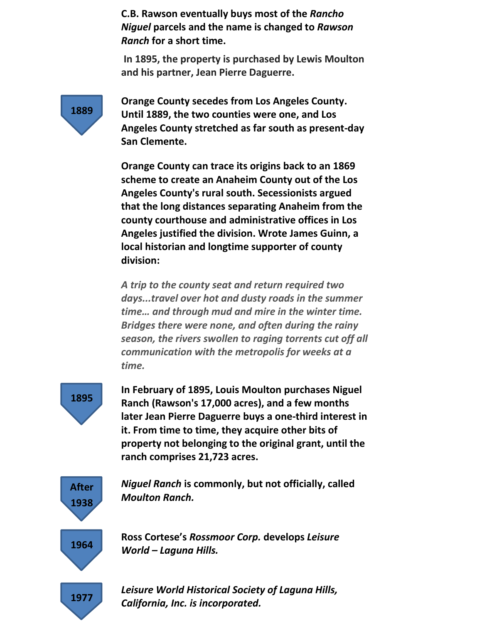**C.B. Rawson eventually buys most of the** *Rancho Niguel* **parcels and the name is changed to** *Rawson Ranch* **for a short time.** 

**In 1895, the property is purchased by Lewis Moulton and his partner, Jean Pierre Daguerre.**



**Orange County secedes from Los Angeles County. Until 1889, the two counties were one, and Los Angeles County stretched as far south as present-day San Clemente.**

**Orange County can trace its origins back to an 1869 scheme to create an Anaheim County out of the Los Angeles County's rural south. Secessionists argued that the long distances separating Anaheim from the county courthouse and administrative offices in Los Angeles justified the division. Wrote James Guinn, a local historian and longtime supporter of county division:**

*A trip to the county seat and return required two days...travel over hot and dusty roads in the summer time… and through mud and mire in the winter time. Bridges there were none, and often during the rainy season, the rivers swollen to raging torrents cut off all communication with the metropolis for weeks at a time.* 



**In February of 1895, Louis Moulton purchases Niguel Ranch (Rawson's 17,000 acres), and a few months later Jean Pierre Daguerre buys a one-third interest in it. From time to time, they acquire other bits of property not belonging to the original grant, until the ranch comprises 21,723 acres.**



*Niguel Ranch* **is commonly, but not officially, called**  *Moulton Ranch.*

**Ross Cortese's** *Rossmoor Corp.* **develops** *Leisure World – Laguna Hills.*

*Leisure World Historical Society of Laguna Hills, California, Inc. is incorporated.*